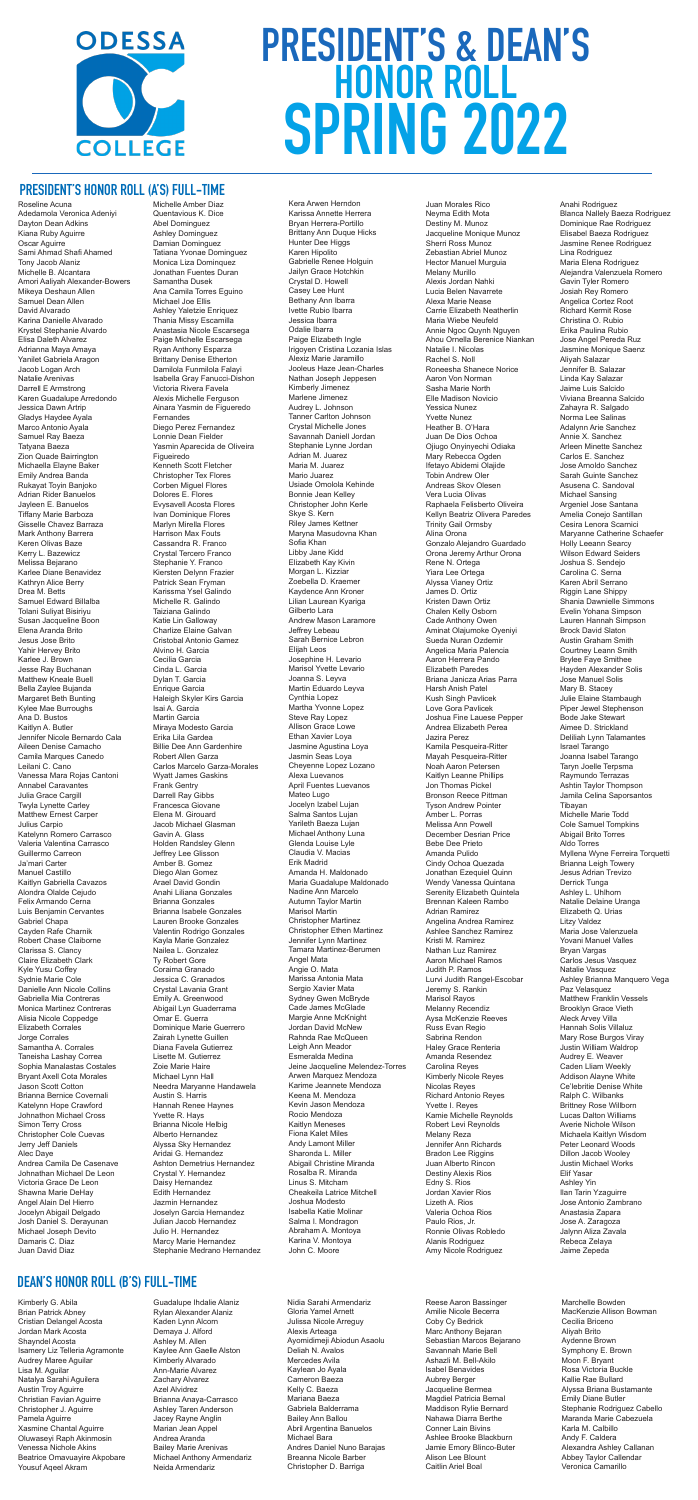# **PRESIDENT'S HONOR ROLL (A'S) FULL-TIME**

Roseline Acuna Adedamola Veronica Adeniyi Dayton Dean Adkins Kiana Ruby Aguirre Oscar Aguirre Sami Ahmad Shafi Ahamed Tony Jacob Alaniz Michelle B. Alcantara Amori Aaliyah Alexander-Bowers Mikeya Deshaun Allen Samuel Dean Allen David Alvarado Karina Danielle Alvarado Krystel Stephanie Alvardo Elisa Daleth Alvarez Adrianna Maya Amaya Yanilet Gabriela Aragon Jacob Logan Arch Natalie Arenivas Darrell E Armstrong Karen Guadalupe Arredondo Jessica Dawn Artrip Gladys Haydee Ayala Marco Antonio Ayala Samuel Ray Baeza Tatyana Baeza Zion Quade Bairrington Michaella Elayne Baker Emily Andrea Banda Rukayat Toyin Banjoko Adrian Rider Banuelos Jayleen E. Banuelos Tiffany Marie Barboza Gisselle Chavez Barraza Mark Anthony Barrera Keren Olivas Baze Kerry L. Bazewicz Melissa Bejarano Karlee Diane Benavidez Kathryn Alice Berry Drea M. Betts Samuel Edward Billalba Tolani Suliyat Bisiriyu Susan Jacqueline Boon Elena Aranda Brito Jesus Jose Brito Yahir Hervey Brito Karlee J. Brown Jesse Ray Buchanan Matthew Kneale Buell Bella Zaylee Bujanda Margaret Beth Bunting Kylee Mae Burroughs Ana D. Bustos Kaitlyn A. Butler Jennifer Nicole Bernardo Cala Aileen Denise Camacho Camila Marques Canedo Leilani C. Cano Vanessa Mara Rojas Cantoni Annabel Caravantes Julia Grace Cargill Twyla Lynette Carley Matthew Ernest Carper Julius Carpio Katelynn Romero Carrasco Valeria Valentina Carrasco Guillermo Carreon Ja'mari Carter Manuel Castillo Kaitlyn Gabriella Cavazos Alondra Olalde Cejudo Felix Armando Cerna Luis Benjamin Cervantes Gabriel Chapa Cayden Rafe Charnik Robert Chase Claiborne Clarissa S. Clancy Claire Elizabeth Clark Kyle Yusu Coffey Sydnie Marie Cole Danielle Ann Nicole Collins Gabriella Mia Contreras Monica Martinez Contreras Alisia Nicole Coppedge Elizabeth Corrales Jorge Corrales Samantha A. Corrales Taneisha Lashay Correa Sophia Manalastas Costales Bryant Axell Cota Morales Jason Scott Cotton Brianna Bernice Covernali Katelynn Hope Crawford Johnathon Michael Cross Simon Terry Cross Christopher Cole Cuevas Jerry Jeff Daniels Alec Daye Andrea Camila De Casenave Johnathan Michael De Leon Victoria Grace De Leon Shawna Marie DeHay Angel Alain Del Hierro Jocelyn Abigail Delgado Josh Daniel S. Derayunan Michael Joseph Devito Damaris C. Diaz Juan David Diaz

Michelle Amber Diaz Quentavious K. Dice Abel Dominguez Ashley Dominguez Damian Dominguez Tatiana Yvonae Dominguez Monica Liza Dominquez Jonathan Fuentes Duran Samantha Dusek Ana Camila Torres Eguino Michael Joe Ellis Ashley Yaletzie Enriquez Thania Missy Escamilla Anastasia Nicole Escarsega Paige Michelle Escarsega Ryan Anthony Esparza Brittany Denise Etherton Damilola Funmilola Falayi Isabella Gray Fanucci-Dishon Victoria Rivera Favela Alexis Michelle Ferguson Ainara Yasmin de Figueredo Fernandes Diego Perez Fernandez Lonnie Dean Fielder Yasmin Aparecida de Oliveira Figueiredo Kenneth Scott Fletcher Christopher Tex Flores Corben Miguel Flores Dolores E. Flores Evysavell Acosta Flores Ivan Dominique Flores Marlyn Mirella Flores Harrison Max Fouts Cassandra R. Franco Crystal Tercero Franco Stephanie Y. Franco Kiersten Delynn Frazier Patrick Sean Fryman Karissma Ysel Galindo Michelle R. Galindo Taiziana Galindo Katie Lin Galloway Charlize Elaine Galvan Cristobal Antonio Gamez Alvino H. Garcia Cecilia Garcia Cinda L. Garcia Dylan T. Garcia Enrique Garcia Haleigh Skyler Kirs Garcia Isai A. Garcia Martin Garcia Miraya Modesto Garcia Erika Lila Gardea Billie Dee Ann Gardenhire Robert Allen Garza Carlos Marcelo Garza-Morales Wyatt James Gaskins Frank Gentry Darrell Ray Gibbs Francesca Giovane Elena M. Girouard Jacob Michael Glasman Gavin A. Glass Holden Randsley Glenn Jeffrey Lee Glisson Amber B. Gomez Diego Alan Gomez Arael David Gondin Anahi Liliana Gonzales Brianna Gonzales Brianna Isabele Gonzales Lauren Brooke Gonzales Valentin Rodrigo Gonzales Kayla Marie Gonzalez Nailea L. Gonzalez Ty Robert Gore Coraima Granado Jessica C. Granados Crystal Lavania Grant Emily A. Greenwood Abigail Lyn Guaderrama Omar E. Guerra Dominique Marie Guerrero Zairah Lynette Guillen Diana Favela Gutierrez Lisette M. Gutierrez Zoie Marie Haire Michael Lynn Hall Needra Maryanne Handawela Austin S. Harris Hannah Renee Haynes Yvette R. Hays Brianna Nicole Helbig Alberto Hernandez Alyssa Sky Hernandez Aridai G. Hernandez Ashton Demetrius Hernandez Crystal Y. Hernandez Daisy Hernandez Edith Hernandez Jazmin Hernandez Joselyn Garcia Hernandez Julian Jacob Hernandez Julio H. Hernandez Marcy Marie Hernandez Stephanie Medrano Hernandez



# **PRESIDENT'S & DEAN'S HONOR ROLL SPRING 2022**

Kera Arwen Herndon Karissa Annette Herrera Bryan Herrera-Portillo Brittany Ann Duque Hicks Hunter Dee Higgs Karen Hipolito Gabrielle Renee Holguin Jailyn Grace Hotchkin Crystal D. Howell Casey Lee Hunt Bethany Ann Ibarra Ivette Rubio Ibarra Jessica Ibarra Odalie Ibarra Paige Elizabeth Ingle Irigoyen Cristina Lozania Islas Alexiz Marie Jaramillo Jooleus Haze Jean-Charles Nathan Joseph Jeppesen Kimberly Jimenez Marlene Jimenez Audrey L. Johnson Tanner Carlton Johnson Crystal Michelle Jones Savannah Daniell Jordan Stephanie Lynne Jordan Adrian M. Juarez Maria M. Juarez Mario Juarez Usiade Omolola Kehinde Bonnie Jean Kelley Christopher John Kerle Skye S. Kern Riley James Kettner Maryna Masudovna Khan Sofia Khan Libby Jane Kidd Elizabeth Kay Kivin Morgan L. Kizziar Zoebella D. Kraemer Kaydence Ann Kroner Lilian Laurean Kyariga Gilberto Lara Andrew Mason Laramore Jeffrey Lebeau Sarah Bernice Lebron Elijah Leos Josephine H. Levario Marisol Yvette Levario Joanna S. Leyva Martin Eduardo Leyva Cynthia Lopez Martha Yvonne Lopez Steve Ray Lopez Allison Grace Lowe Ethan Xavier Loya Jasmine Agustina Loya Jasmin Seas Loya Cheyenne Lopez Lozano Alexa Luevanos April Fuentes Luevanos Mateo Lugo Jocelyn Izabel Lujan Salma Santos Lujan Yarileth Baeza Lujan Michael Anthony Luna Glenda Louise Lyle Claudia V. Macias Erik Madrid Amanda H. Maldonado Maria Guadalupe Maldonado Nadine Ann Marcelo Autumn Taylor Martin Marisol Martin Christopher Martinez Christopher Ethen Martinez Jennifer Lynn Martinez Tamara Martinez-Berumen Angel Mata Angie O. Mata Marissa Antonia Mata Sergio Xavier Mata Sydney Gwen McBryde Cade James McGlade Margie Anne McKnight Jordan David McNew Rahnda Rae McQueen Leigh Ann Meador Esmeralda Medina Jeine Jacqueline Melendez-Torres Arwen Marquez Mendoza Karime Jeannete Mendoza Keena M. Mendoza Kevin Jason Mendoza Rocio Mendoza Kaitlyn Meneses Fiona Kalet Miles Andy Lamont Miller Sharonda L. Miller Abigail Christine Miranda Rosalba R. Miranda Linus S. Mitcham Cheakeila Latrice Mitchell Joshua Modesto Isabella Katie Molinar Salma I. Mondragon Abraham A. Montoya Karina V. Montoya John C. Moore

Juan Morales Rico Neyma Edith Mota Destiny M. Munoz Jacqueline Monique Munoz Sherri Ross Munoz Zebastian Abriel Munoz Hector Manuel Murguia Melany Murillo Alexis Jordan Nahki Lucia Belen Navarrete Alexa Marie Nease Carrie Elizabeth Neatherlin Maria Wiebe Neufeld Annie Ngoc Quynh Nguyen Ahou Ornella Berenice Niankan Natalie I. Nicolas Rachel S. Noll Roneesha Shanece Norice Aaron Von Norman Sasha Marie North Elle Madison Novicio Yessica Nunez Yvette Nunez Heather B. O'Hara Juan De Dios Ochoa Ojiugo Onyinyechi Odiaka Mary Rebecca Ogden Ifetayo Abidemi Olajide Tobin Andrew Oler Andreas Skov Olesen Vera Lucia Olivas Raphaela Felisberto Oliveira Kellyn Beatriz Olivera Paredes Trinity Gail Ormsby Alina Orona Gonzalo Alejandro Guardado Orona Jeremy Arthur Orona Rene N. Ortega Yiara Lee Ortega Alyssa Vianey Ortiz James D. Ortiz Kristen Dawn Ortiz Chalen Kelly Osborn Cade Anthony Owen Aminat Olajumoke Oyeniyi Sueda Nuran Ozdemir Angelica Maria Palencia Aaron Herrera Pando Elizabeth Paredes Briana Janicza Arias Parra Harsh Anish Patel Kush Singh Pavlicek Love Gora Pavlicek Joshua Fine Lauese Pepper Andrea Elizabeth Perea Jazira Perez Kamila Pesqueira-Ritter Mayah Pesqueira-Ritter Noah Aaron Petersen Kaitlyn Leanne Phillips Jon Thomas Pickel Bronson Reece Pittman Tyson Andrew Pointer Amber L. Porras Melissa Ann Powell December Desrian Price Bebe Dee Prieto Amanda Pulido Cindy Ochoa Quezada Jonathan Ezequiel Quinn Wendy Vanessa Quintana Serenity Elizabeth Quintela Brennan Kaleen Rambo Adrian Ramirez Angelina Andrea Ramirez Ashlee Sanchez Ramirez Kristi M. Ramirez Nathan Luz Ramirez Aaron Michael Ramos Judith P. Ramos Lurvi Judith Rangel-Escobar Jeremy S. Rankin Marisol Rayos Melanny Recendiz Aysa McKenzie Reeves Russ Evan Regio Sabrina Rendon Haley Grace Renteria Amanda Resendez Carolina Reyes Kimberly Nicole Reyes Nicolas Reyes Richard Antonio Reyes Yvette I. Reyes Kamie Michelle Reynolds Robert Levi Reynolds Melany Reza Jennifer Ann Richards Bradon Lee Riggins Juan Alberto Rincon Destiny Alexis Rios Edny S. Rios Jordan Xavier Rios Lizeth A. Rios Valeria Ochoa Rios Paulo Rios, Jr. Ronnie Olivas Robledo Alanis Rodriguez Amy Nicole Rodriguez

Anahi Rodriguez Blanca Nallely Baeza Rodriguez Dominique Rae Rodriguez Elisabel Baeza Rodriguez Jasmine Renee Rodriguez Lina Rodriguez Maria Elena Rodriguez Alejandra Valenzuela Romero Gavin Tyler Romero Josiah Rey Romero Angelica Cortez Root Richard Kermit Rose Christina O. Rubio Erika Paulina Rubio Jose Angel Pereda Ruz Jasmine Monique Saenz Aliyah Salazar Jennifer B. Salazar Linda Kay Salazar Jaime Luis Salcido Viviana Breanna Salcido Zahayra R. Salgado Norma Lee Salinas Adalynn Arie Sanchez Annie X. Sanchez Arleen Minette Sanchez Carlos E. Sanchez Jose Arnoldo Sanchez Sarah Guinte Sanchez Asusena C. Sandoval Michael Sansing Argeniel Jose Santana Amelia Conejo Santillan Cesira Lenora Scarnici Maryanne Catherine Schaefer Holly Leeann Searcy Wilson Edward Seiders Joshua S. Sendejo Carolina C. Serna Karen Abril Serrano Riggin Lane Shippy Shania Dawnielle Simmons Evelin Yohana Simpson Lauren Hannah Simpson Brock David Slaton Austin Graham Smith Courtney Leann Smith Brylee Faye Smithee Hayden Alexander Solis Jose Manuel Solis Mary B. Stacey Julie Elaine Stambaugh Piper Jewel Stephenson Bode Jake Stewart Aimee D. Strickland Deliliah Lynn Talamantes Israel Tarango Joanna Isabel Tarango Taryn Joelle Terpsma Raymundo Terrazas Ashtin Taylor Thompson Jamila Celina Saporsantos Tibayan Michelle Marie Todd Cole Samuel Tompkins Abigail Brito Torres Aldo Torres Myllena Wyne Ferreira Torquetti Brianna Leigh Towery Jesus Adrian Trevizo Derrick Tunga Ashley L. Uhlhorn Natalie Delaine Uranga Elizabeth Q. Urias Litzy Valdez Maria Jose Valenzuela Yovani Manuel Valles Bryan Vargas Carlos Jesus Vasquez Natalie Vasquez Ashley Brianna Manquero Vega Paz Velasquez Matthew Franklin Vessels Brooklyn Grace Vieth Aleck Arvey Villa Hannah Solis Villaluz Mary Rose Burgos Viray Justin William Waldrop Audrey E. Weaver Caden Lliam Weekly Addison Alayne White Ce'lebritie Denise White Ralph C. Wilbanks Brittney Rose Willborn Lucas Dalton Williams Averie Nichole Wilson Michaela Kaitlyn Wisdom Peter Leonard Woods Dillon Jacob Wooley Justin Michael Works Elif Yasar Ashley Yin Ilan Tarin Yzaguirre Jose Antonio Zambrano Anastasia Zapara Jose A. Zaragoza Jalynn Aliza Zavala Rebeca Zelaya Jaime Zepeda

#### **DEAN'S HONOR ROLL (B'S) FULL-TIME**

Kimberly G. Abila Brian Patrick Abney Cristian Delangel Acosta Jordan Mark Acosta Shayndel Acosta Isamery Liz Telleria Agramonte Audrey Maree Aguilar Lisa M. Aguilar Natalya Sarahi Aguilera Austin Troy Aguirre Christian Favian Aguirre Christopher J. Aguirre Pamela Aguirre Xasmine Chantal Aguirre Oluwaseyi Raph Akinmosin Venessa Nichole Akins Beatrice Omavuayire Akpobare Yousuf Aqeel Akram

Guadalupe Ihdalie Alaniz Rylan Alexander Alaniz Kaden Lynn Alcorn Demaya J. Alford Ashley M. Allen Kaylee Ann Gaelle Alston Kimberly Alvarado Ann-Marie Alvarez Zachary Alvarez Azel Alvidrez Brianna Anaya-Carrasco Ashley Taren Anderson Jacey Rayne Anglin Marian Jean Appel Andrea Aranda Bailey Marie Arenivas Michael Anthony Armendariz Neida Armendariz

Nidia Sarahi Armendariz Gloria Yamel Arnett Julissa Nicole Arreguy Alexis Arteaga Ayomidimeji Abiodun Asaolu Deliah N. Avalos Mercedes Avila Kaylean Jo Ayala Cameron Baeza Kelly C. Baeza Mariana Baeza Gabriela Balderrama Bailey Ann Ballou Abril Argentina Banuelos Michael Bara Andres Daniel Nuno Barajas Breanna Nicole Barber Christopher D. Barriga

Reese Aaron Bassinger Amilie Nicole Becerra Coby Cy Bedrick Marc Anthony Bejaran Sebastian Marcos Bejarano Savannah Marie Bell Ashazli M. Bell-Akilo Isabel Benavides Aubrey Berger Jacqueline Bermea Magdiel Patricia Bernal Maddison Rylie Bernard Nahawa Diarra Berthe Conner Lain Bivins Ashlee Brooke Blackburn Jamie Emory Blinco-Buter Alison Lee Blount Caitlin Ariel Boal

Marchelle Bowden MacKenzie Allison Bowman Cecilia Briceno Aliyah Brito Aydenne Brown Symphony E. Brown Moon F. Bryant Rosa Victoria Buckle Kallie Rae Bullard Alyssa Briana Bustamante Emily Diane Butler Stephanie Rodriguez Cabello Maranda Marie Cabezuela Karla M. Calbillo Andy F. Caldera Alexandra Ashley Callanan Abbey Taylor Callendar Veronica Camarillo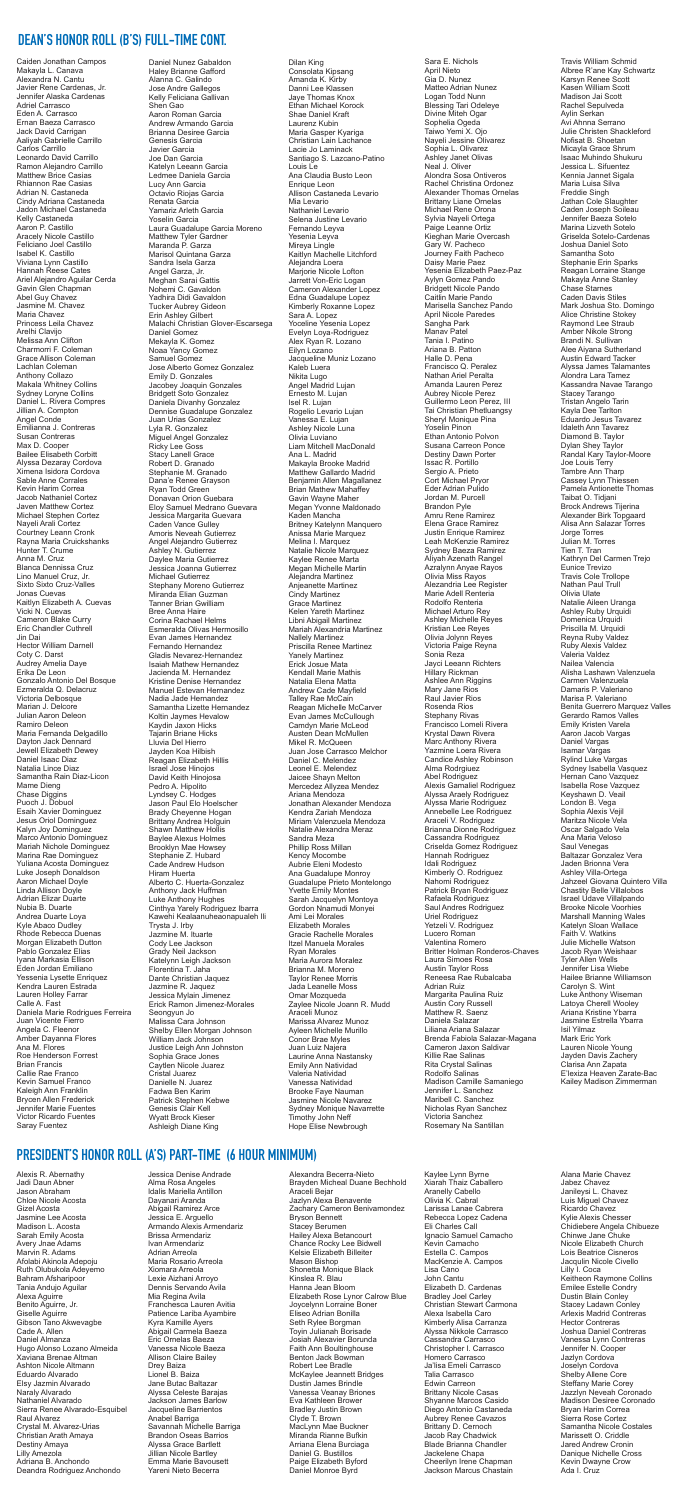# **PRESIDENT'S HONOR ROLL (A'S) PART-TIME (6 HOUR MINIMUM)**

Alexis R. Abernathy Jadi Daun Abner Jason Abraham Chloe Nicole Acosta Gizel Acosta Jasmine Lee Acosta Madison L. Acosta Sarah Emily Acosta Avery Jnae Adams Marvin R. Adams Afolabi Akinola Adepoju Ruth Olubukola Adeyemo Bahram Afsharipoor Tania Andujo Aguilar Alexa Aguirre Benito Aguirre, Jr. Giselle Aguirre Gibson Tano Akwevagbe Cade A. Allen Daniel Almanza Hugo Alonso Lozano Almeida Xaviana Brenae Altman Ashton Nicole Altmann Eduardo Alvarado Elsy Jazmin Alvarado Naraly Alvarado Nathaniel Alvarado Sierra Renee Alvarado-Esquibel Raul Alvarez Crystal M. Alvarez-Urias Christian Arath Amaya Destiny Amaya Lilly Amezola Adriana B. Anchondo Deandra Rodriguez Anchondo

Jessica Denise Andrade Alma Rosa Angeles Idalis Mariella Antillon Dayanari Aranda Abigail Ramirez Arce Jessica E. Arguello Armando Alexis Armendariz Brissa Armendariz Ivan Armendariz Adrian Arreola Maria Rosario Arreola Xiomara Arreola Lexie Aizhani Arroyo Dennis Servando Avila Mia Regina Avila Franchesca Lauren Avitia Patience Lariba Ayambire Kyra Kamille Ayers Abigail Carmela Baeza Eric Ornelas Baeza Vanessa Nicole Baeza Allison Claire Bailey Drey Baiza Lionel B. Baiza Jane Butac Baltazar Alyssa Celeste Barajas Jackson James Barlow Jacqueline Barrientos Anabel Barriga Savannah Michelle Barriga Brandon Oseas Barrios Alyssa Grace Bartlett Jillian Nicole Bartley Emma Marie Bavousett Yareni Nieto Becerra

Alexandra Becerra-Nieto Brayden Micheal Duane Bechhold Araceli Bejar Jazlyn Alexa Benavente Zachary Cameron Benivamondez Bryson Bennett Stacey Berumen Hailey Alexa Betancourt Chance Rocky Lee Bidwell Kelsie Elizabeth Billeiter Mason Bishop Shonetta Monique Black Kinslea R. Blau Hanna Jean Bloom Elizabeth Rose Lynor Calrow Blue Joycelynn Lorraine Boner Eliseo Adrian Bonilla Seth Rylee Borgman Toyin Julianah Borisade Josiah Alexavier Borunda Faith Ann Boultinghouse Benton Jack Bowman Robert Lee Bradle McKaylee Jeannett Bridges Dustin James Brindle Vanessa Veanay Briones Eva Kathleen Brower Bradley Justin Brown Clyde T. Brown MacLynn Mae Buckner Miranda Rianne Bufkin Arriana Elena Burciaga Daniel G. Bustillos Paige Elizabeth Byford Daniel Monroe Byrd

Kaylee Lynn Byrne Xiarah Thaiz Caballero Aranelly Cabello Olivia K. Cabral Larissa Lanae Cabrera Rebecca Lopez Cadena Eli Charles Call Ignacio Samuel Camacho Kevin Camacho Estella C. Campos MacKenzie A. Campos Lisa Cano John Cantu Elizabeth D. Cardenas Bradley Joel Carley Christian Stewart Carmona Alexa Isabella Caro Kimberly Alisa Carranza Alyssa Nikkole Carrasco Cassandra Carrasco Christopher I. Carrasco Homero Carrasco Ja'lisa Emeli Carrasco Talia Carrasco Edwin Carreon Brittany Nicole Casas Shyanne Marcos Casido Diego Antonio Castaneda Aubrey Renee Cavazos Brittany D. Cernoch Jacob Ray Chadwick Blade Brianna Chandler Jackelene Chapa Cheerilyn Irene Chapman Jackson Marcus Chastain

Alana Marie Chavez Jabez Chavez Janileysi L. Chavez Luis Miguel Chavez Ricardo Chavez Kylie Alexis Chesser Chidiebere Angela Chibueze Chinwe Jane Chuke Nicole Elizabeth Church Lois Beatrice Cisneros Jacqulin Nicole Civello Lilly I. Coca Keitheon Raymone Collins Emilee Estelle Condry Dustin Blain Conley Stacey Ladawn Conley Arlexis Madrid Contreras Hector Contreras Joshua Daniel Contreras Vanessa Lynn Contreras Jennifer N. Cooper Jazlyn Cordova Joselyn Cordova Shelby Allene Core Steffany Marie Corey Jazzlyn Neveah Coronado Madison Desiree Coronado Bryan Harim Correa Sierra Rose Cortez Samantha Nicole Costales Marissett O. Criddle Jared Andrew Cronin Danique Nichelle Cross Kevin Dwayne Crow Ada I. Cruz

Caiden Jonathan Campos Makayla L. Canava Alexandra N. Cantu Javier Rene Cardenas, Jr. Jennifer Alaska Cardenas Adriel Carrasco Eden A. Carrasco Ernan Baeza Carrasco Jack David Carrigan Aaliyah Gabrielle Carrillo Carlos Carrillo Leonardo David Carrillo Ramon Alejandro Carrillo Matthew Brice Casias Rhiannon Rae Casias Adrian N. Castaneda Cindy Adriana Castaneda Jadon Michael Castaneda Kelly Castaneda Aaron P. Castillo Aracely Nicole Castillo Feliciano Joel Castillo Isabel K. Castillo Viviana Lynn Castillo Hannah Reese Cates Ariel Alejandro Aguilar Cerda Gavin Glen Chapman Abel Guy Chavez Jasmine M. Chavez Maria Chavez Princess Leila Chavez Arelhi Clavijo Melissa Ann Clifton Charmorri F. Coleman Grace Allison Coleman Lachlan Coleman Anthony Collazo Makala Whitney Collins Sydney Loryne Collins Daniel L. Rivera Compres Jillian A. Compton Angel Conde Emilianna J. Contreras Susan Contreras Max D. Cooper Bailee Elisabeth Corbitt Alyssa Dezaray Cordova Ximena Isidora Cordova Sable Anne Corrales Kevin Harim Correa Jacob Nathaniel Cortez Javen Matthew Cortez Michael Stephen Cortez Nayeli Arali Cortez Courtney Leann Cronk Rayna Maria Cruickshanks Hunter T. Crume Anna M. Cruz Blanca Dennissa Cruz Lino Manuel Cruz, Jr. Sixto Sixto Cruz-Valles Jonas Cuevas Kaitlyn Elizabeth A. Cuevas Vicki N. Cuevas Cameron Blake Curry Eric Chandler Cuthrell Jin Dai Hector William Darnell Coty C. Darst Audrey Amelia Daye Erika De Leon Gonzalo Antonio Del Bosque Ezmeralda Q. Delacruz Victoria Delbosque Marian J. Delcore Julian Aaron Deleon Ramiro Deleon Maria Fernanda Delgadillo Dayton Jack Dennard Jewell Elizabeth Dewey Daniel Isaac Diaz Natalia Lince Diaz Samantha Rain Diaz-Licon Mame Dieng Chase Diggins Puoch J. Dobuol Esaih Xavier Dominguez Jesus Oriol Dominguez Kalyn Joy Dominguez Marco Antonio Dominguez Mariah Nichole Dominguez Marina Rae Dominguez Yuliana Acosta Dominguez Luke Joseph Donaldson Aaron Michael Doyle Linda Allison Doyle Adrian Elizar Duarte Nubia B. Duarte Andrea Duarte Loya Kyle Abaco Dudley Rhode Rebecca Duenas Morgan Elizabeth Dutton Pablo Gonzalez Elias Iyana Markasia Ellison Eden Jordan Emiliano Yessenia Lysette Enriquez Kendra Lauren Estrada Lauren Holley Farrar Calle A. Fast Daniela Marie Rodrigues Ferreira Juan Vicente Fierro Angela C. Fleenor Amber Dayanna Flores Ana M. Flores Roe Henderson Forrest Brian Francis Callie Rae Franco Kevin Samuel Franco Kaleigh Ann Franklin Brycen Allen Frederick Jennifer Marie Fuentes Victor Ricardo Fuentes Saray Fuentez

Daniel Nunez Gabaldon Haley Brianne Gafford Alanna C. Galindo Jose Andre Gallegos Kelly Feliciana Gallivan Shen Gao Aaron Roman Garcia Andrew Armando Garcia Brianna Desiree Garcia Genesis Garcia Javier Garcia Joe Dan Garcia Katelyn Leeann Garcia Ledmee Daniela Garcia Lucy Ann Garcia Octavio Riojas Garcia Renata Garcia Yamariz Arleth Garcia Yoselin Garcia Laura Guadalupe Garcia Moreno Matthew Tyler Gardner Maranda P. Garza Marisol Quintana Garza Sandra Isela Garza Angel Garza, Jr. Meghan Sarai Gattis Nohemi C. Gavaldon Yadhira Didi Gavaldon Tucker Aubrey Gideon Erin Ashley Gilbert Malachi Christian Glover-Escarsega Daniel Gomez Mekayla K. Gomez Noaa Yancy Gomez Samuel Gomez Jose Alberto Gomez Gonzalez Emily D. Gonzales Jacobey Joaquin Gonzales Bridgett Soto Gonzalez Daniela Divanhy Gonzalez Dennise Guadalupe Gonzalez Juan Urias Gonzalez Lyla R. Gonzalez Miguel Angel Gonzalez Ricky Lee Goss Stacy Lanell Grace Robert D. Granado Stephanie M. Granado Dana'e Renee Grayson Ryan Todd Green Donavan Orion Guebara Eloy Samuel Medrano Guevara Jessica Margarita Guevara Caden Vance Gulley Amoris Neveah Gutierrez Angel Alejandro Gutierrez Ashley N. Gutierrez Daylee Maria Gutierrez Jessica Joanna Gutierrez Michael Gutierrez Stephany Moreno Gutierrez Miranda Elian Guzman Tanner Brian Gwilliam Bree Anna Haire Corina Rachael Helms Esmeralda Olivas Hermosillo Evan James Hernandez Fernando Hernandez Gladis Nevarez-Hernandez Isaiah Mathew Hernandez Jacienda M. Hernandez Kristine Denise Hernandez Manuel Estevan Hernandez Nadia Jade Hernandez Samantha Lizette Hernandez Koltin Jaymes Hevalow Kaydin Jaxon Hicks Tajarin Briane Hicks Lluvia Del Hierro Jayden Koa Hilbish Reagan Elizabeth Hillis Israel Jose Hinojos David Keith Hinojosa Pedro A. Hipolito Lyndsey C. Hodges Jason Paul Elo Hoelscher Brady Cheyenne Hogan Brittany Andrea Holguin Shawn Matthew Hollis Baylee Alexus Holmes Brooklyn Mae Howsey Stephanie Z. Hubard Cade Andrew Hudson Hiram Huerta Alberto C. Huerta-Gonzalez Anthony Jack Huffman Luke Anthony Hughes Cinthya Yarely Rodriguez Ibarra Kawehi Kealaanuheaonapualeh Ili Trysta J. Irby Jazmine M. Ituarte Cody Lee Jackson Grady Neil Jackson Katelynn Leigh Jackson Florentina T. Jaha Dante Christian Jaquez Jazmine R. Jaquez Jessica Mylain Jimenez Erick Ramon Jimenez-Morales Seongyun Jo Malissa Cara Johnson Shelby Ellen Morgan Johnson William Jack Johnson Justice Leigh Ann Johnston Sophia Grace Jones Caytlen Nicole Juarez Cristal Juarez Danielle N. Juarez Fadwa Ben Karim Patrick Stephen Kebwe Genesis Clair Kell Wyatt Brock Kieser Ashleigh Diane King

Dilan King Consolata Kipsang Amanda K. Kirby Danni Lee Klassen Jaye Thomas Knox Ethan Michael Korock Shae Daniel Kraft Laurenz Kubin Maria Gasper Kyariga Christian Lain Lachance Lacie Jo Laminack Santiago S. Lazcano-Patino Louis Le Ana Claudia Busto Leon Enrique Leon Allison Castaneda Levario Mia Levario Nathaniel Levario Selena Justine Levario Fernando Leyva Yesenia Levva Mireya Lingle Kaitlyn Machelle Litchford Alejandra Loera Marjorie Nicole Lofton Jarrett Von-Eric Logan Cameron Alexander Lopez Edna Guadalupe Lopez Kimberly Roxanne Lopez Sara A. Lopez Yoceline Yesenia Lopez Evelyn Loya-Rodriguez Alex Ryan R. Lozano Eilyn Lozano Jacqueline Muniz Lozano Kaleb Luera Nikita Lugo Angel Madrid Lujan Ernesto M. Lujan Isel R. Lujan Rogelio Levario Lujan Vanessa E. Lujan Ashley Nicole Luna Olivia Luviano Liam Mitchell MacDonald Ana L. Madrid Makayla Brooke Madrid Matthew Gallardo Madrid Benjamin Allen Magallanez Brian Mathew Mahaffey Gavin Wayne Maher Megan Yvonne Maldonado Kaden Mancha Britney Katelynn Manquero Anissa Marie Marquez Melina I. Marquez Natalie Nicole Marquez Kaylee Renee Marta Megan Michelle Martin Alejandra Martinez Anjeanette Martinez Cindy Martinez Grace Martinez Kelen Yareth Martinez Libni Abigail Martinez Mariah Alexandria Martinez Nallely Martinez Priscilla Renee Martinez Yanely Martinez Erick Josue Mata Kendall Marie Mathis Natalia Elena Matta Andrew Cade Mayfield Talley Rae McCain Reagan Michelle McCarver Evan James McCullough Camdyn Marie McLeod Austen Dean McMullen Mikel R. McQueen Juan Jose Carrasco Melchor Daniel C. Melendez Leonel E. Melendez Jaicee Shayn Melton Mercedez Allyzea Mendez Ariana Mendoza Jonathan Alexander Mendoza Kendra Zariah Mendoza Miriam Valenzuela Mendoza Natalie Alexandra Meraz Sandra Meza Phillip Ross Millan Kency Mocombe Aubrie Eleni Modesto Ana Guadalupe Monroy Guadalupe Prieto Montelongo Yvette Emily Montes Sarah Jacquelyn Montoya Gordon Nnamudi Monyei Ami Lei Morales Elizabeth Morales Gracie Rachelle Morales Itzel Manuela Morales Ryan Morales Maria Aurora Moralez Brianna M. Moreno Taylor Renee Morris Jada Leanelle Moss Omar Mozqueda Zaylee Nicole Joann R. Mudd Araceli Munoz Marissa Alvarez Munoz Ayleen Michelle Murillo Conor Brae Myles Juan Luiz Najera Laurine Anna Nastansky Emily Ann Natividad Valeria Natividad Vanessa Natividad Brooke Faye Nauman Jasmine Nicole Navarez Sydney Monique Navarrette Timothy John Neff Hope Elise Newbrough

Sara E. Nichols April Nieto Gia D. Nunez Matteo Adrian Nunez Logan Todd Nunn Blessing Tari Odeleye Divine Miteh Ogar Sophelia Ogeda Taiwo Yemi X. Ojo Nayeli Jessine Olivarez Sophia L. Olivarez Ashley Janet Olivas Neal J. Oliver Alondra Sosa Ontiveros Rachel Christina Ordonez Alexander Thomas Ornelas Brittany Liane Ornelas Michael Rene Orona Sylvia Nayeli Ortega Paige Leanne Ortiz Kieghan Marie Overcash Gary W. Pacheco Journey Faith Pacheco Daisy Marie Paez Yesenia Elizabeth Paez-Paz Aylyn Gomez Pando Bridgett Nicole Pando Caitlin Marie Pando Marisella Sanchez Pando April Nicole Paredes Sangha Park Manav Patel Tania I. Patino Ariana B. Patton Halle D. Pena Francisco Q. Peralez Nathan Ariel Peralta Amanda Lauren Perez Aubrey Nicole Perez Guillermo Leon Perez, III Tai Christian Phetluangsy Sheryl Monique Pina Yoselin Pinon Ethan Antonio Polvon Susana Carreon Ponce Destiny Dawn Porter Issac R. Portillo Sergio A. Prieto Cort Michael Pryor Eder Adrian Pulido Jordan M. Purcell Brandon Pyle Amru Rene Ramirez Elena Grace Ramirez Justin Enrique Ramirez Leah McKenzie Ramirez Sydney Baeza Ramirez Aliyah Azenath Rangel Azralynn Anyae Rayos Olivia Miss Rayos Alezandria Lee Register Marie Adell Renteria Rodolfo Renteria Michael Arturo Rey Ashley Michelle Reyes Kristian Lee Reyes Olivia Jolynn Reyes Victoria Paige Reyna Sonia Reza Jayci Leeann Richters Hillary Rickman Ashlee Ann Riggins Mary Jane Rios Raul Javier Rios Rosenda Rios Stephany Rivas Francisco Lomeli Rivera Krystal Dawn Rivera Marc Anthony Rivera Yazmine Loera Rivera Candice Ashley Robinson Alma Rodrgiuez Abel Rodriguez Alexis Gamaliel Rodriguez Alyssa Araely Rodriguez Alyssa Marie Rodriguez Annebelle Lee Rodriguez Araceli V. Rodriguez Brianna Dionne Rodriguez Cassandra Rodriguez Criselda Gomez Rodriguez Hannah Rodriguez Idali Rodriguez Kimberly O. Rodriguez Nahomi Rodriguez Patrick Bryan Rodriguez Rafaela Rodriguez Saul Andres Rodriguez Uriel Rodriguez Yetzeli V. Rodriguez Lucero Roman Valentina Romero Britter Holman Ronderos-Chaves Laura Simoes Rosa Austin Taylor Ross Reneesa Rae Rubalcaba Adrian Ruiz Margarita Paulina Ruiz Austin Cory Russell Matthew R. Saenz Daniela Salazar Liliana Ariana Salazar Brenda Fabiola Salazar-Magana Cameron Jaxon Saldivar Killie Rae Salinas Rita Crystal Salinas Rodolfo Salinas Madison Camille Samaniego Jennifer L. Sanchez Maribell C. Sanchez Nicholas Ryan Sanchez Victoria Sanchez Rosemary Na Santillan

Travis William Schmid

Albree R'ane Kay Schwartz Karsyn Renee Scott Kasen William Scott Madison Jai Scott Rachel Sepulveda Aylin Serkan Avi Ahnna Serrano Julie Christen Shackleford Nofisat B. Shoetan Micayla Grace Shrum Isaac Muhindo Shukuru Jessica L. Sifuentez Kennia Jannet Sigala Maria Luisa Silva Freddie Singh Jathan Cole Slaughter Caden Joseph Soileau Jennifer Baeza Sotelo Marina Lizveth Sotelo Griselda Sotelo-Cardenas Joshua Daniel Soto Samantha Soto Stephanie Erin Sparks Reagan Lorraine Stange Makayla Anne Stanley Chase Starnes Caden Davis Stiles Mark Joshua Sto. Domingo Alice Christine Stokey Raymond Lee Straub Amber Nikole Strong Brandi N. Sullivan Alee Aiyana Sutherland Austin Edward Tacker Alyssa James Talamantes Alondra Lara Tamez Kassandra Navae Tarango Stacey Tarango Tristan Angelo Tarin Kayla Dee Tarlton Eduardo Jesus Tavarez Idaleth Ann Tavarez Diamond B. Taylor Dylan Shey Taylor Randal Kary Taylor-Moore Joe Louis Terry Tambre Ann Tharp Cassey Lynn Thiessen Pamela Antionette Thomas Taibat O. Tidjani Brock Andrews Tijerina Alexander Birk Topgaard Alisa Ann Salazar Torres Jorge Torres Julian M. Torres Tien T. Tran Kathryn Del Carmen Trejo Eunice Trevizo Travis Cole Trollope Nathan Paul Trull Olivia Ulate Natalie Aileen Uranga Ashley Ruby Urquidi Domenica Urquidi Priscilla M. Urquidi Reyna Ruby Valdez Ruby Alexis Valdez Valeria Valdez Nailea Valencia Alisha Lashawn Valenzuela Carmen Valenzuela Damaris P. Valeriano Marisa P. Valeriano Benita Guerrero Marquez Valles Gerardo Ramos Valles Emily Kristen Varela Aaron Jacob Vargas Daniel Vargas Isamar Vargas Rylind Luke Vargas Sydney Isabella Vasquez Hernan Cano Vazquez Isabella Rose Vazquez Keyshawn D. Veail London B. Vega Sophia Alexis Vejil Maritza Nicole Vela Oscar Salgado Vela Ana Maria Veloso Saul Venegas Baltazar Gonzalez Vera Jaden Brionna Vera Ashley Villa-Ortega Jahzeel Giovana Quintero Villa Chastity Belle Villalobos Israel Udave Villalpando Brooke Nicole Voorhies Marshall Manning Wales Katelyn Sloan Wallace Faith V. Watkins Julie Michelle Watson Jacob Ryan Weishaar Tyler Allen Wells Jennifer Lisa Wiebe Hailee Brianne Williamson Carolyn S. Wint Luke Anthony Wiseman Latoya Cherell Wooley Ariana Kristine Ybarra Jasmine Estrella Ybarra Isil Yilmaz Mark Eric York Lauren Nicole Young Jayden Davis Zachery Clarisa Ann Zapata E'lexiza Heaven Zarate-Bac Kailey Madison Zimmerman

# **DEAN'S HONOR ROLL (B'S) FULL-TIME CONT.**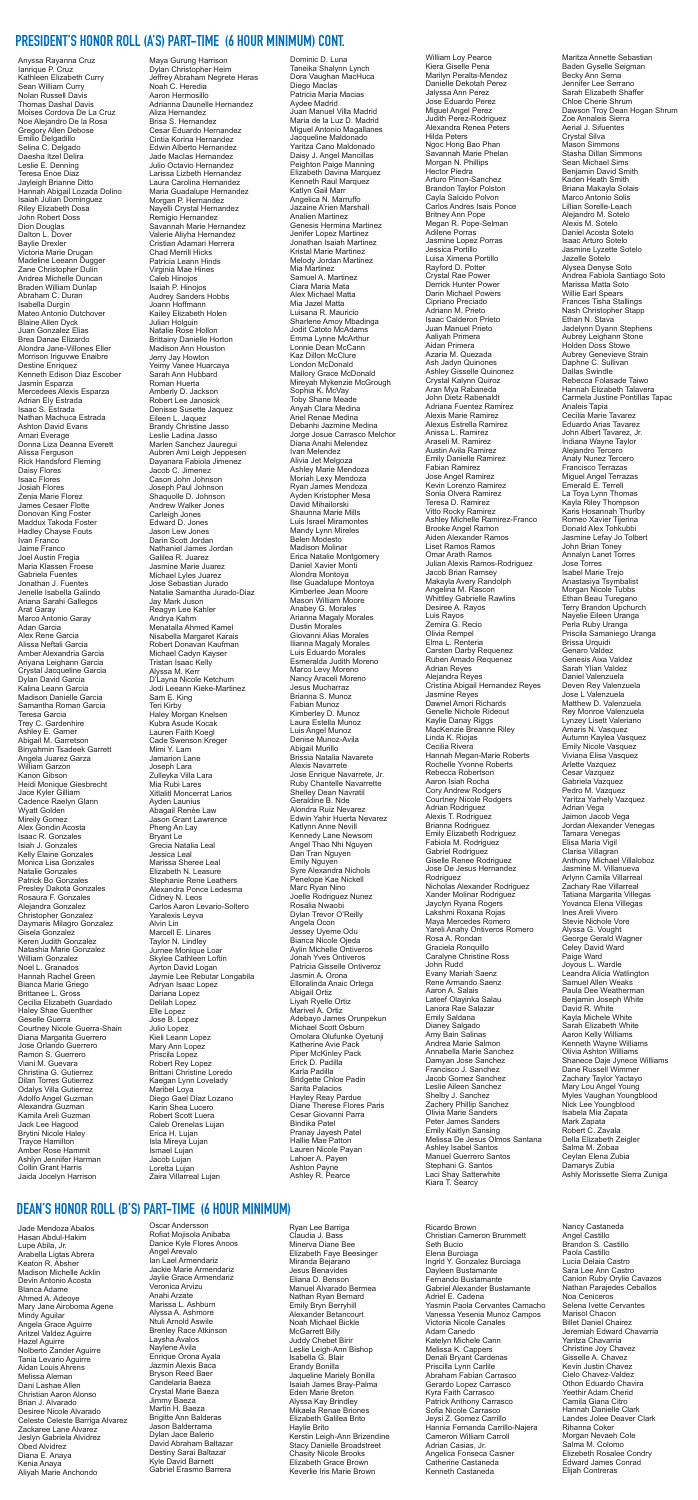### **PRESIDENT'S HONOR ROLL (A'S) PART-TIME (6 HOUR MINIMUM) CONT.**

Anyssa Rayanna Cruz Ianrique P. Cruz Kathleen Elizabeth Curry Sean William Curry Nolan Russell Davis Thomas Dashal Davis Moises Cordova De La Cruz Noe Alejandro De la Rosa Gregory Allen Debose Emilio Delgadillo Selina C. Delgado Daesha Itzel Delira Leslie E. Denning Teresa Enoe Diaz Jayleigh Brianne Ditto Hannah Abigail Lozada Dolino Isaiah Julian Dominguez Riley Elizabeth Dosa John Robert Doss Dion Douglas Dalton L. Dover Baylie Drexler Victoria Marie Drugan Madeline Leeann Dugger Zane Christopher Dulin Andrea Michelle Duncan Braden William Dunlap Abraham C. Duran Isabella Durgin Mateo Antonio Dutchover Blaine Allen Dyck Juan Gonzalez Elias Brea Danae Elizardo Alondra Jane-Villones Eller Morrison Iriguvwe Enaibre Destine Enriquez Kenneth Edison Diaz Escober Jasmin Esparza Mercedees Alexis Esparza Adrian Ely Estrada Isaac S. Estrada Nathan Machuca Estrada Ashton David Evans Amari Everage Donna Liza Deanna Everett Alissa Ferguson Rick Handsford Fleming Daisy Flores Isaac Flores Josiah Flores Zenia Marie Florez James Cesaer Flotte Donovan King Foster Maddux Takoda Foster Hadley Chayse Fouts Ivan Franco Jaime Franco Joel Austin Fregia Maria Klassen Froese Gabriela Fuentes Jonathan J. Fuentes Jenelle Isabella Galindo Ariana Sarahi Gallegos Arat Garay Marco Antonio Garay Adan Garcia Alex Rene Garcia Alissa Neftali Garcia Amber Alexandria Garcia Ariyana Leighann Garcia Crystal Jacqueline Garcia Dylan David Garcia Kalina Leann Garcia Madison Danielle Garcia Samantha Roman Garcia Teresa Garcia Trey C. Gardenhire Ashley E. Garner Abigail M. Garretson Binyahmin Tsadeek Garrett Angela Juarez Garza William Garzon Kanon Gibson Heidi Monique Giesbrecht Jace Kyler Gilliam Cadence Raelyn Glann Wyatt Golden Mireily Gomez Alex Gondin Acosta Isaac R. Gonzales Isiah J. Gonzales Kelly Elaine Gonzales Monica Lisa Gonzales Natalie Gonzales Patrick Bo Gonzales Presley Dakota Gonzales Rosaura F. Gonzales Alejandra Gonzalez Christopher Gonzalez Daymaris Milagro Gonzalez Gisela Gonzalez Keren Judith Gonzalez Natashia Marie Gonzalez William Gonzalez Noel L. Granados Hannah Rachel Green Bianca Marie Griego Brittanee L. Gross Cecilia Elizabeth Guardado Haley Shae Guenther Geselle Guerra Courtney Nicole Guerra-Shain Diana Margarita Guerrero Jose Orlando Guerrero Ramon S. Guerrero Viani M. Guevara Christina G. Gutierrez Dilan Torres Gutierrez Odalys Villa Gutierrez Adolfo Angel Guzman Alexandra Guzman Kamila Areli Guzman Jack Lee Hagood Brytini Nicole Haley Trayce Hamilton Amber Rose Hammit Ashlyn Jennifer Harman Collin Grant Harris Jaida Jocelyn Harrison

Maya Gurung Harrison Dylan Christopher Heim Jeffrey Abraham Negrete Heras Noah C. Heredia Aaron Hermosillo Adrianna Daunelle Hernandez Aliza Hernandez Brisa S. Hernandez Cesar Eduardo Hernandez Cintia Korina Hernandez Edwin Alberto Hernandez Jade MacIas Hernandez Julio Octavio Hernandez Larissa Lizbeth Hernandez Laura Carolina Hernandez Maria Guadalupe Hernandez Morgan P. Hernandez Nayelli Crystal Hernandez Remigio Hernandez Savannah Marie Hernandez Valerie Aliyha Hernandez Cristian Adamari Herrera Chad Merrill Hicks Patricia Leann Hinds Virginia Mae Hines Caleb Hinojos Isaiah P. Hinojos Audrey Sanders Hobbs Joann Hoffmann Kailey Elizabeth Holen Julian Holguin Natalie Rose Hollon Brittainy Danielle Horton Madison Ann Houston Jerry Jay Howton Yeimy Vanee Huarcaya Sarah Ann Hubbard Roman Huerta Amberly D. Jackson Robert Lee Janosick Denisse Susette Jaquez Eileen L. Jaquez Brandy Christine Jasso Leslie Ladina Jasso Marlen Sanchez Jauregui Aubren Ami Leigh Jeppesen Dayanara Fabiola Jimenez Jacob C. Jimenez Cason John Johnson Joseph Paul Johnson Shaquolle D. Johnson Andrew Walker Jones Carleigh Jones Edward D. Jones Jason Lew Jones Darin Scott Jordan Nathaniel James Jordan Galilea R. Juarez Jasmine Marie Juarez Michael Lyles Juarez Jose Sebastian Jurado Natalie Samantha Jurado-Diaz Jay Mark Juson Reagyn Lee Kahler Andrya Kahm Menatalla Ahmed Kamel Nisabella Margaret Karais Robert Donavan Kaufman Michael Cadyn Kayser Tristan Isaac Kelly Alyssa M. Kerr D'Layna Nicole Ketchum Jodi Leeann Kieke-Martinez Sam E. King Teri Kirby Haley Morgan Knelsen Kubra Asude Kocak Lauren Faith Koegl Cade Swenson Kreger Mimi Y. Lam Jamarion Lane Joseph Lara Zulleyka Villa Lara Mia Rubi Lares Xitlalitl Moncerrat Larios Ayden Launius Abagail Renèe Law Jason Grant Lawrence Pheng An Lay Bryant Le Grecia Natalia Leal Jessica Leal Marissa Sheree Leal Elizabeth N. Leasure Stephanie Rene Leathers Alexandra Ponce Ledesma Cidney N. Leos Carlos Aaron Levario-Soltero Yaralexis Leyva Alvin Lin Marcell E. Linares Taylor N. Lindley Jurnee Monique Loar Skylee Cathleen Loftin Ayrton David Logan Jaymie Lee Rebutar Longabila Adryan Isaac Lopez Dariana Lopez Delilah Lopez Elle Lopez Jose B. Lopez Julio Lopez Kieli Leann Lopez Mary Ann Lopez Priscila Lopez Robert Rey Lopez Brittani Christine Loredo Kaegan Lynn Lovelady Maribel Loya Diego Gael Diaz Lozano Karin Shea Lucero Robert Scott Luera Caleb Orenelas Lujan Erica H. Lujan Isla Mireya Lujan Ismael Lujan Jacob Lujan Loretta Lujan Zaira Villarreal Lujan

Dominic D. Luna Taneika Shalynn Lynch Dora Vaughan MacHuca Diego MacIas Patricia Maria Macias Aydee Madrid Juan Manuel Villa Madrid Maria de la Luz D. Madrid Miguel Antonio Magallanes Jacqueline Maldonado Yaritza Cano Maldonado Daisy J. Angel Mancillas Peighton Paige Manning Elizabeth Davina Marquez Kenneth Raul Marquez Katlyn Gail Marr Angelica N. Marruffo Jazaine A'rien Marshall Analien Martinez Genesis Hermina Martinez Jenifer Lopez Martinez Jonathan Isaiah Martinez Kristal Marie Martinez Melody Jordan Martinez Mia Martinez Samuel A. Martinez Ciara Maria Mata Alex Michael Matta Mia Jazel Matta Luisana R. Mauricio Sharlene Amoy Mbadinga Jodit Catoto McAdams Emma Lynne McArthur Lonnie Dean McCann Kaz Dillon McClure London McDonald Mallory Grace McDonald Mireyah Mykenzie McGrough Sophia K. McVay Toby Shane Meade Anyah Clara Medina Ariel Renae Medina Debanhi Jazmine Medina Jorge Josue Carrasco Melchor Diana Anahi Melendez Ivan Melendez Alivia Jet Melgoza Ashley Marie Mendoza Moriah Lexy Mendoza Ryan James Mendoza Ayden Kristopher Mesa David Mihailorski Shaunna Marie Mills Luis Israel Miramontes Mandy Lynn Mireles Belen Modesto Madison Molinar Erica Natalie Montgomery Daniel Xavier Monti Alondra Montoya Ilse Guadalupe Montoya Kimberlee Jean Moore Mason William Moore Anabey G. Morales Arianna Magaly Morales Dustin Morales Giovanni Alias Morales Ilianna Magaly Morales Luis Eduardo Morales Esmeralda Judith Moreno Marco Levy Moreno Nancy Araceli Moreno Jesus Mucharraz Brianna S. Munoz Fabian Munoz Kimberley D. Munoz Laura Estella Munoz Luis Angel Munoz Denise Munoz-Avila Abigail Murillo Brissia Natalia Navarete Alexis Navarrete Jose Enrique Navarrete, Jr. Ruby Chantelle Navarrette Shelley Dean Navratil Geraldine B. Nde Alondra Ruiz Nevarez Edwin Yahir Huerta Nevarez Katlynn Anne Nevill Kennedy Lane Newsom Angel Thao Nhi Nguyen Dan Tran Nguyen Emily Nguyen Syre Alexandra Nichols Penelope Kae Nickell Marc Ryan Nino Joelle Rodriguez Nunez Rosalia Nwaobi Dylan Trevor O'Reilly Angela Ocon Jessey Uyeme Odu Bianca Nicole Ojeda Aylin Michelle Ontiveros Jonah Yves Ontiveros Patricia Gisselle Ontiveroz Jasmin A. Orona Elloralinda Anaic Ortega Abigail Ortiz Liyah Ryelle Ortiz Marivel A. Ortiz Adebayo James Orunpekun Michael Scott Osburn Omolara Olufunke Oyetunji Katherine Avie Pack Piper McKinley Pack Erick D. Padilla Karla Padilla Bridgette Chloe Padin Sarita Palacios Hayley Reay Pardue Diane Therese Flores Paris Cesar Giovanni Parra Bindika Patel Pranay Jayesh Patel Hallie Mae Patton Lauren Nicole Payan Lahoer A. Payen Ashton Payne Ashley R. Pearce

William Loy Pearce Kiera Giselle Pena Marilyn Peralta-Mendez Danielle Dekotah Perez Jalyssa Ann Perez Jose Eduardo Perez Miguel Angel Perez Judith Perez-Rodriguez Alexandra Renea Peters Hilda Peters Ngoc Hong Bao Phan Savannah Marie Phelan Morgan N. Phillips Hector Piedra Arturo Pinon-Sanchez Brandon Taylor Polston Cayla Salcido Polvon Carlos Andres Isais Ponce Britney Ann Pope Megan R. Pope-Selman Adilene Porras Jasmine Lopez Porras Jessica Portillo Luisa Ximena Portillo Rayford D. Potter Crystal Rae Power Derrick Hunter Power Darin Michael Powers Cipriano Preciado Adriann M. Prieto Isaac Calderon Prieto Juan Manuel Prieto Aaliyah Primera Aidan Primera Azaria M. Quezada Ash Jadyn Quinones Ashley Gisselle Quinonez Crystal Kalynn Quiroz Aran Mya Rabaneda John Dietz Rabenaldt Adriana Fuentez Ramirez Alexis Marie Ramirez Alexus Estrella Ramirez Anissa L. Ramirez Araseli M. Ramirez Austin Avila Ramirez Emily Danielle Ramirez Fabian Ramirez Jose Angel Ramirez Kevin Lorenzo Ramirez Sonia Olvera Ramirez Teresa D. Ramirez Vitto Rocky Ramirez Ashley Michelle Ramirez-Franco Brooke Angel Ramon Aiden Alexander Ramos Liset Ramos Ramos Omar Arath Ramos Julian Alexis Ramos-Rodriguez Jacob Brian Ramsey Makayla Avery Randolph Angelina M. Rascon Whittley Gabrielle Rawlins Desiree A. Rayos Luis Rayos Zemira G. Recio Olivia Rempel Elma L. Renteria Carsten Darby Requenez Ruben Amado Requenez Adrian Reyes Alejandra Reyes Cristina Abigail Hernandez Reyes Jasmine Reyes Dawnel Amori Richards Genelle Nichole Rideout Kaylie Danay Riggs MacKenzie Breanne Riley Linda K. Riojas Cecilia Rivera Hannah Megan-Marie Roberts Rochelle Yvonne Roberts Rebecca Robertson Aaron Isiah Rocha Cory Andrew Rodgers Courtney Nicole Rodgers Adrian Rodriguez Alexis T. Rodriguez Brianna Rodriguez Emily Elizabeth Rodriguez Fabiola M. Rodriguez Gabriel Rodriguez Giselle Renee Rodriguez Jose De Jesus Hernandez Rodriguez Nicholas Alexander Rodriguez Xander Molinar Rodriguez Jayclyn Ryana Rogers Lakshmi Roxana Rojas Maya Mercedes Romero Yareli Anahy Ontiveros Romero Rosa A. Rondan Graciela Ronquillo Caralyne Christine Ross John Rudd Evany Mariah Saenz Rene Armando Saenz Aaron A. Salais Lateef Olayinka Salau Lanora Rae Salazar Emily Saldana Dianey Salgado Amy Bain Salinas Andrea Marie Salmon Annabella Marie Sanchez Damyan Jose Sanchez Francisco J. Sanchez Jacob Gomez Sanchez Leslie Aileen Sanchez Shelby J. Sanchez Zachery Phillip Sanchez Olivia Marie Sanders Peter James Sanders Emily Kaitlyn Sansing Melissa De Jesus Olmos Santana Ashley Isabel Santos Manuel Guerrero Santos Stephani G. Santos Laci Shay Satterwhite Kiara T. Searcy

Maritza Annette Sebastian

Baden Gyselle Seigman Becky Ann Serna Jennifer Lee Serrano Sarah Elizabeth Shaffer Chloe Cherie Shrum Dawson Troy Dean Hogan Shrum Zoe Annaleis Sierra Aerial J. Sifuentes Crystal Silva Mason Simmons Stasha Dillan Simmons Sean Michael Sims Benjamin David Smith Kaden Heath Smith Briana Makayla Solais Marco Antonio Solis Lillian Sorelle-Leach Alejandro M. Sotelo Alexis M. Sotelo Daniel Acosta Sotelo Isaac Arturo Sotelo Jasmine Lyzette Sotelo Jazelle Sotelo Alysea Denyse Soto Andrea Fabiola Santiago Soto Marissa Matta Soto Willie Earl Spears Frances Tisha Stallings Nash Christopher Stapp Ethan N. Stava Jadelynn Dyann Stephens Aubrey Leighann Stone Holden Doss Stowe Aubrey Genevieve Strain Daphne C. Sullivan Dallas Swindle Rebecca Folasade Taiwo Hannah Elizabeth Talavera Carmela Justine Pontillas Tapac Analeis Tapia Cecilia Marie Tavarez Eduardo Arias Tavarez John Albert Tavarez, Jr. Indiana Wayne Taylor Alejandro Tercero Analy Nunez Tercero Francisco Terrazas Miguel Angel Terrazas Emerald E. Terrell La Toya Lynn Thomas Kayla Riley Thompson Karis Hosannah Thurlby Romeo Xavier Tijerina Donald Alex Tohkubbi Jasmine Lefay Jo Tolbert John Brian Toney Annalyn Lanet Torres Jose Torres Isabel Marie Trejo Anastasiya Tsymbalist Morgan Nicole Tubbs Ethan Beau Turegano Terry Brandon Upchurch Nayelie Eileen Uranga Perla Ruby Uranga Priscila Samaniego Uranga Brissa Urquidi Genaro Valdez Genesis Aixa Valdez Sarah Ylian Valdez Daniel Valenzuela Deven Rey Valenzuela Jose L Valenzuela Matthew D. Valenzuela Rey Monroe Valenzuela Lynzey Lisett Valeriano Amaris N. Vasquez Autumn Kaylea Vasquez Emily Nicole Vasquez Viviana Elisa Vasquez Arlette Vazquez Cesar Vazquez Gabriela Vazquez Pedro M. Vazquez Yaritza Yarhely Vazquez Adrian Vega Jaimon Jacob Vega Jordan Alexander Venegas Tamara Venegas Elisa Maria Vigil Clarisa Villagran Anthony Michael Villaloboz Jasmine M. Villanueva Arlynn Camila Villarreal

#### Zachary Rae Villarreal Tatiana Margarita Villegas Yovanca Elena Villegas Ines Areli Vivero Stevie Nichole Vore Alyssa G. Vought George Gerald Wagner Celey David Ward Paige Ward Joyous L. Wardle Leandra Alicia Watlington Samuel Allen Weaks Paula Dee Weatherman Benjamin Joseph White David R. White Kayla Michele White Sarah Elizabeth White Aaron Kelly Williams Kenneth Wayne Williams Olivia Ashton Williams Shanece Daje Jynece Williams Dane Russell Wimmer Zachary Taylor Yactayo Mary Lou Angel Young Myles Vaughan Youngblood Nick Lee Youngblood Isabela Mia Zapata Mark Zapata Robert C. Zavala Della Elizabeth Zeigler Salma M. Zobaa Ceylan Elena Zubia Damarys Zubia Ashly Morissette Sierra Zuniga

## **DEAN'S HONOR ROLL (B'S) PART-TIME (6 HOUR MINIMUM)**

Jade Mendoza Abalos Hasan Abdul-Hakim Lupe Abila, Jr. Arabella Ligtas Abrera Keaton R. Absher Madison Michelle Acklin Devin Antonio Acosta Blanca Adame Ahmed A. Adeoye Mary Jane Airoboma Agene Mindy Aguilar Angela Grace Aguirre Aritzel Valdez Aguirre Hazel Aguirre Nolberto Zander Aguirre Tania Levario Aguirre Aidan Louis Ahrens Melissa Aleman Dani Lashae Allen Christian Aaron Alonso Brian J. Alvarado Desiree Nicole Alvarado Celeste Celeste Barriga Alvarez Zackaree Lane Alvarez Jeslyn Gabriela Alvidrez Obed Alvidrez Diana E. Anaya Kenia Anaya Aliyah Marie Anchondo

Oscar Andersson Rofiat Mojisola Anibaba Danice Kyle Flores Anoos Angel Arevalo Ian Lael Armendariz Jackie Marie Armendariz Jaylie Grace Armendariz Veronica Arvizu Anahi Arzate Marissa L. Ashburn Alyssa A. Ashmore Ntuli Arnold Aswile Brenley Race Atkinson Laysha Avalos Naylene Avila Enrique Orona Ayala Jazmin Alexis Baca Bryson Reed Baer Candelaria Baeza Crystal Marie Baeza Jimmy Baeza Martin H. Baeza Brigitte Ann Balderas Jason Balderrama Dylan Jace Balerio David Abraham Baltazar Destiny Sarai Baltazar Kyle David Barnett Gabriel Erasmo Barrera

Ryan Lee Barriga Claudia J. Bass Minerva Diane Bee Elizabeth Faye Beesinger Miranda Bejarano Jesus Benavides Eliana D. Benson Manuel Alvarado Bermea Nathan Ryan Bernard Emily Bryn Berryhill Alexander Betancourt Noah Michael Bickle McGarrett Billy Juddy Chebet Birir Leslie Leigh-Ann Bishop Isabella G. Blair Erandy Bonilla Jaqueline Mariely Bonilla Isaiah James Bray-Palma Eden Marie Breton Alyssa Kay Brindley Mikaela Renae Briones Elizabeth Galilea Brito Haylie Brito Kerstin Leigh-Ann Brizendine Stacy Danielle Broadstreet Chasity Nicole Brooks Elizabeth Grace Brown Keverlie Iris Marie Brown

Ricardo Brown Christian Cameron Brummett Seth Bucio Elena Burciaga Ingrid Y. Gonzalez Burciaga Dayleen Bustamante Fernando Bustamante Gabriel Alexander Bustamante Adriel E. Cadena Yasmin Paola Cervantes Camacho Vanessa Yesenia Munoz Campos Victoria Nicole Canales Adam Canedo Katelyn Michele Cann Melissa K. Cappers Denali Bryant Cardenas Priscilla Lynn Carlile Abraham Fabian Carrasco Gerardo Lopez Carrasco Kyra Faith Carrasco Patrick Anthony Carrasco Sofia Nicole Carrasco Jeysi Z. Gomez Carrillo Hannia Fernanda Carrillo-Najera Cameron William Carroll Adrian Casias, Jr. Angelica Fonseca Casner Catherine Castaneda Kenneth Castaneda

Nancy Castaneda Angel Castillo Brandon S. Castillo Paola Castillo Lucia Delaia Castro Sara Lee Ann Castro Canion Ruby Orylie Cavazos Nathan Parajedes Ceballos Noa Ceniceros Selena Ivette Cervantes Marisol Chacon Billet Daniel Chairez Jeremiah Edward Chavarria Yaritza Chavarria Christine Joy Chavez Gisselle A. Chavez Kevin Justin Chavez Cielo Chavez-Valdez Othon Eduardo Chavira Yeethir Adam Cherid Camila Giana Citro Hannah Danielle Clark Landes Jolee Deaver Clark Rihanna Coker Morgan Nevaeh Cole Salma M. Colomo Elizebeth Rosalee Condry Edward James Conrad Elijah Contreras